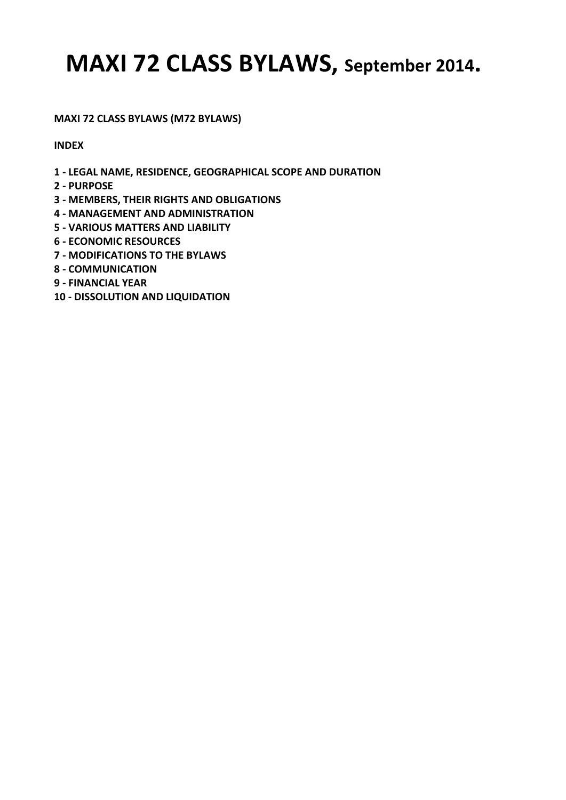**MAXI 72 CLASS BYLAWS (M72 BYLAWS)** 

**INDEX** 

- **1 LEGAL NAME, RESIDENCE, GEOGRAPHICAL SCOPE AND DURATION**
- **2 PURPOSE**
- **3 MEMBERS, THEIR RIGHTS AND OBLIGATIONS**
- **4 MANAGEMENT AND ADMINISTRATION**
- **5 VARIOUS MATTERS AND LIABILITY**
- **6 ECONOMIC RESOURCES**
- **7 MODIFICATIONS TO THE BYLAWS**
- **8 COMMUNICATION**
- **9 FINANCIAL YEAR**
- **10 DISSOLUTION AND LIQUIDATION**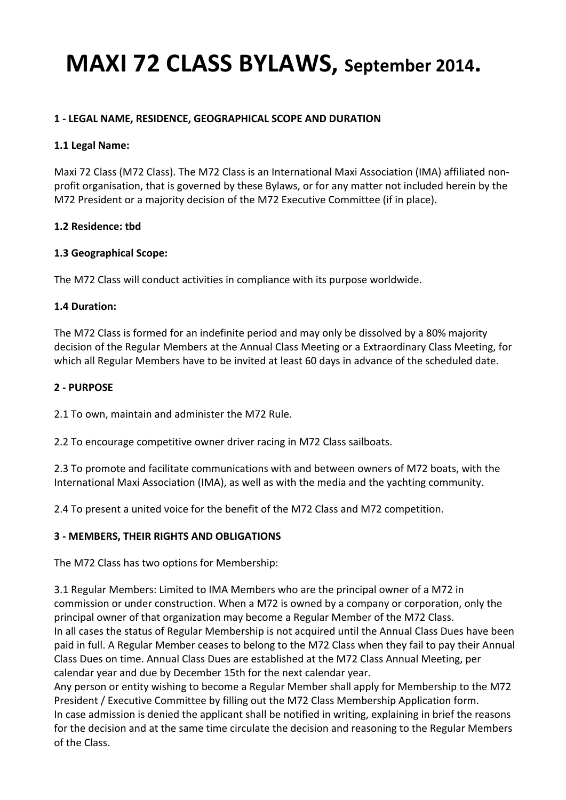### **1 - LEGAL NAME, RESIDENCE, GEOGRAPHICAL SCOPE AND DURATION**

#### 1.1 Legal Name:

Maxi 72 Class (M72 Class). The M72 Class is an International Maxi Association (IMA) affiliated nonprofit organisation, that is governed by these Bylaws, or for any matter not included herein by the M72 President or a majority decision of the M72 Executive Committee (if in place).

### **1.2 Residence: tbd**

### **1.3 Geographical Scope:**

The M72 Class will conduct activities in compliance with its purpose worldwide.

#### **1.4 Duration:**

The M72 Class is formed for an indefinite period and may only be dissolved by a 80% majority decision of the Regular Members at the Annual Class Meeting or a Extraordinary Class Meeting, for which all Regular Members have to be invited at least 60 days in advance of the scheduled date.

#### 2 - PURPOSF

2.1 To own, maintain and administer the M72 Rule.

2.2 To encourage competitive owner driver racing in M72 Class sailboats.

2.3 To promote and facilitate communications with and between owners of M72 boats, with the International Maxi Association (IMA), as well as with the media and the yachting community.

2.4 To present a united voice for the benefit of the M72 Class and M72 competition.

### **3 - MEMBERS, THEIR RIGHTS AND OBLIGATIONS**

The M72 Class has two options for Membership:

3.1 Regular Members: Limited to IMA Members who are the principal owner of a M72 in commission or under construction. When a M72 is owned by a company or corporation, only the principal owner of that organization may become a Regular Member of the M72 Class. In all cases the status of Regular Membership is not acquired until the Annual Class Dues have been paid in full. A Regular Member ceases to belong to the M72 Class when they fail to pay their Annual Class Dues on time. Annual Class Dues are established at the M72 Class Annual Meeting, per calendar year and due by December 15th for the next calendar year.

Any person or entity wishing to become a Regular Member shall apply for Membership to the M72 President / Executive Committee by filling out the M72 Class Membership Application form. In case admission is denied the applicant shall be notified in writing, explaining in brief the reasons for the decision and at the same time circulate the decision and reasoning to the Regular Members of the Class.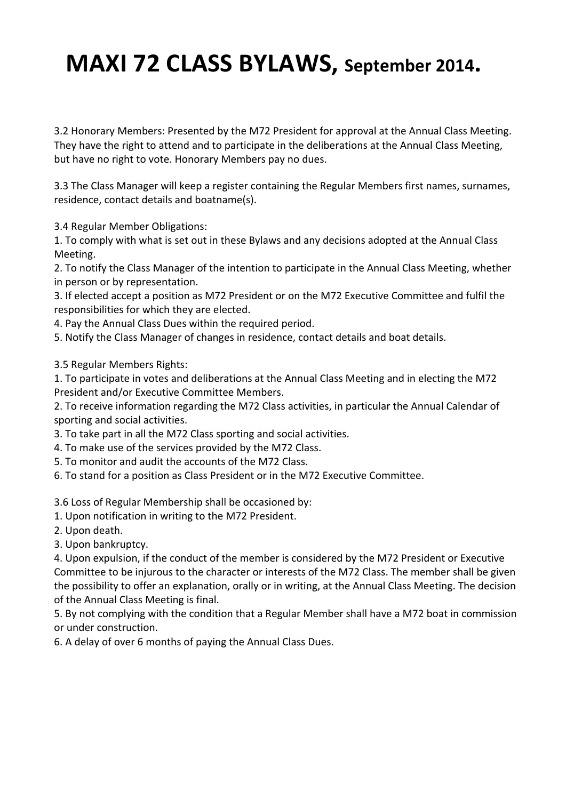3.2 Honorary Members: Presented by the M72 President for approval at the Annual Class Meeting. They have the right to attend and to participate in the deliberations at the Annual Class Meeting, but have no right to vote. Honorary Members pay no dues.

3.3 The Class Manager will keep a register containing the Regular Members first names, surnames, residence, contact details and boatname(s).

3.4 Regular Member Obligations: 

1. To comply with what is set out in these Bylaws and any decisions adopted at the Annual Class Meeting. 

2. To notify the Class Manager of the intention to participate in the Annual Class Meeting, whether in person or by representation.

3. If elected accept a position as M72 President or on the M72 Executive Committee and fulfil the responsibilities for which they are elected.

4. Pay the Annual Class Dues within the required period.

5. Notify the Class Manager of changes in residence, contact details and boat details.

- 3.5 Regular Members Rights:
- 1. To participate in votes and deliberations at the Annual Class Meeting and in electing the M72 President and/or Executive Committee Members.

2. To receive information regarding the M72 Class activities, in particular the Annual Calendar of sporting and social activities.

- 3. To take part in all the M72 Class sporting and social activities.
- 4. To make use of the services provided by the M72 Class.
- 5. To monitor and audit the accounts of the M72 Class.
- 6. To stand for a position as Class President or in the M72 Executive Committee.

3.6 Loss of Regular Membership shall be occasioned by:

- 1. Upon notification in writing to the M72 President.
- 2. Upon death.
- 3. Upon bankruptcy.

4. Upon expulsion, if the conduct of the member is considered by the M72 President or Executive Committee to be injurous to the character or interests of the M72 Class. The member shall be given the possibility to offer an explanation, orally or in writing, at the Annual Class Meeting. The decision of the Annual Class Meeting is final.

5. By not complying with the condition that a Regular Member shall have a M72 boat in commission or under construction.

6. A delay of over 6 months of paying the Annual Class Dues.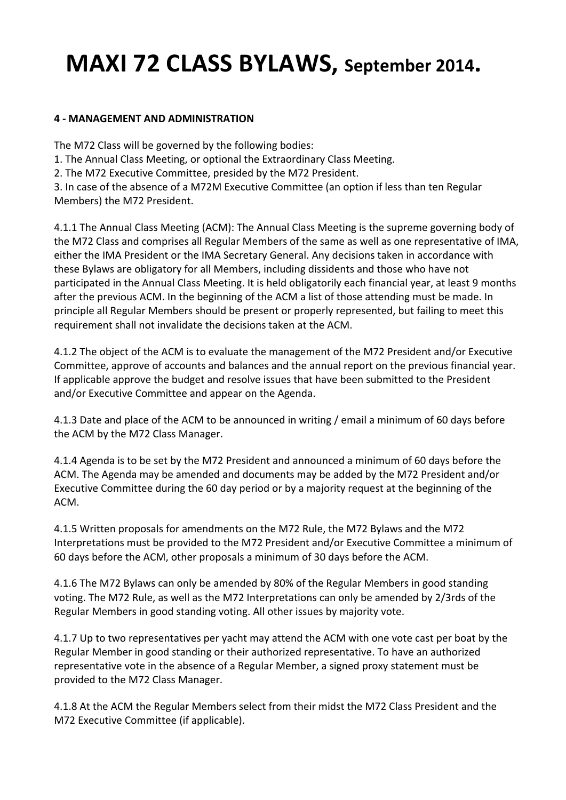### **4 - MANAGEMENT AND ADMINISTRATION**

The M72 Class will be governed by the following bodies:

1. The Annual Class Meeting, or optional the Extraordinary Class Meeting.

2. The M72 Executive Committee, presided by the M72 President.

3. In case of the absence of a M72M Executive Committee (an option if less than ten Regular Members) the M72 President.

4.1.1 The Annual Class Meeting (ACM): The Annual Class Meeting is the supreme governing body of the M72 Class and comprises all Regular Members of the same as well as one representative of IMA, either the IMA President or the IMA Secretary General. Any decisions taken in accordance with these Bylaws are obligatory for all Members, including dissidents and those who have not participated in the Annual Class Meeting. It is held obligatorily each financial year, at least 9 months after the previous ACM. In the beginning of the ACM a list of those attending must be made. In principle all Regular Members should be present or properly represented, but failing to meet this requirement shall not invalidate the decisions taken at the ACM.

4.1.2 The object of the ACM is to evaluate the management of the M72 President and/or Executive Committee, approve of accounts and balances and the annual report on the previous financial year. If applicable approve the budget and resolve issues that have been submitted to the President and/or Executive Committee and appear on the Agenda.

4.1.3 Date and place of the ACM to be announced in writing / email a minimum of 60 days before the ACM by the M72 Class Manager.

4.1.4 Agenda is to be set by the M72 President and announced a minimum of 60 days before the ACM. The Agenda may be amended and documents may be added by the M72 President and/or Executive Committee during the 60 day period or by a majority request at the beginning of the ACM. 

4.1.5 Written proposals for amendments on the M72 Rule, the M72 Bylaws and the M72 Interpretations must be provided to the M72 President and/or Executive Committee a minimum of 60 days before the ACM, other proposals a minimum of 30 days before the ACM.

4.1.6 The M72 Bylaws can only be amended by 80% of the Regular Members in good standing voting. The M72 Rule, as well as the M72 Interpretations can only be amended by 2/3rds of the Regular Members in good standing voting. All other issues by majority vote.

4.1.7 Up to two representatives per yacht may attend the ACM with one vote cast per boat by the Regular Member in good standing or their authorized representative. To have an authorized representative vote in the absence of a Regular Member, a signed proxy statement must be provided to the M72 Class Manager.

4.1.8 At the ACM the Regular Members select from their midst the M72 Class President and the M72 Executive Committee (if applicable).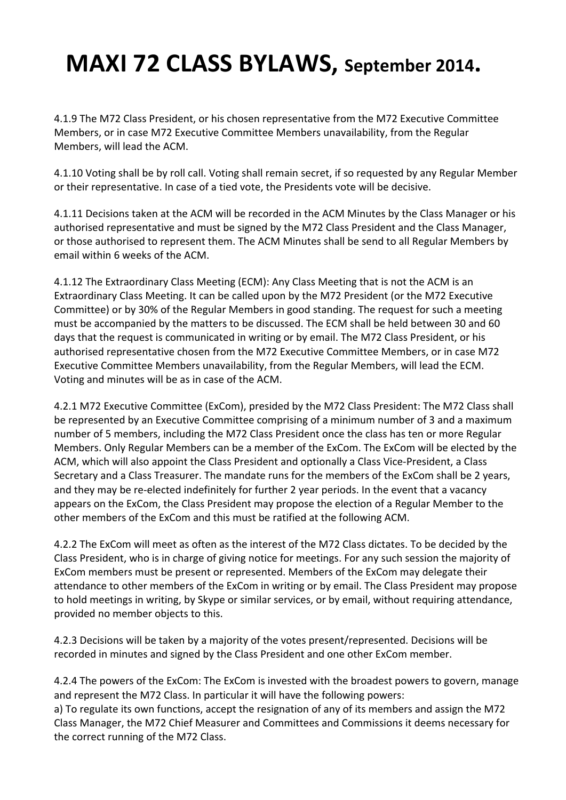4.1.9 The M72 Class President, or his chosen representative from the M72 Executive Committee Members, or in case M72 Executive Committee Members unavailability, from the Regular Members, will lead the ACM.

4.1.10 Voting shall be by roll call. Voting shall remain secret, if so requested by any Regular Member or their representative. In case of a tied vote, the Presidents vote will be decisive.

4.1.11 Decisions taken at the ACM will be recorded in the ACM Minutes by the Class Manager or his authorised representative and must be signed by the M72 Class President and the Class Manager, or those authorised to represent them. The ACM Minutes shall be send to all Regular Members by email within 6 weeks of the ACM.

4.1.12 The Extraordinary Class Meeting (ECM): Any Class Meeting that is not the ACM is an Extraordinary Class Meeting. It can be called upon by the M72 President (or the M72 Executive Committee) or by 30% of the Regular Members in good standing. The request for such a meeting must be accompanied by the matters to be discussed. The ECM shall be held between 30 and 60 days that the request is communicated in writing or by email. The M72 Class President, or his authorised representative chosen from the M72 Executive Committee Members, or in case M72 Executive Committee Members unavailability, from the Regular Members, will lead the ECM. Voting and minutes will be as in case of the ACM.

4.2.1 M72 Executive Committee (ExCom), presided by the M72 Class President: The M72 Class shall be represented by an Executive Committee comprising of a minimum number of 3 and a maximum number of 5 members, including the M72 Class President once the class has ten or more Regular Members. Only Regular Members can be a member of the ExCom. The ExCom will be elected by the ACM, which will also appoint the Class President and optionally a Class Vice-President, a Class Secretary and a Class Treasurer. The mandate runs for the members of the ExCom shall be 2 years, and they may be re-elected indefinitely for further 2 year periods. In the event that a vacancy appears on the ExCom, the Class President may propose the election of a Regular Member to the other members of the ExCom and this must be ratified at the following ACM.

4.2.2 The ExCom will meet as often as the interest of the M72 Class dictates. To be decided by the Class President, who is in charge of giving notice for meetings. For any such session the majority of ExCom members must be present or represented. Members of the ExCom may delegate their attendance to other members of the ExCom in writing or by email. The Class President may propose to hold meetings in writing, by Skype or similar services, or by email, without requiring attendance, provided no member objects to this.

4.2.3 Decisions will be taken by a majority of the votes present/represented. Decisions will be recorded in minutes and signed by the Class President and one other ExCom member.

4.2.4 The powers of the ExCom: The ExCom is invested with the broadest powers to govern, manage and represent the M72 Class. In particular it will have the following powers: a) To regulate its own functions, accept the resignation of any of its members and assign the M72 Class Manager, the M72 Chief Measurer and Committees and Commissions it deems necessary for the correct running of the M72 Class.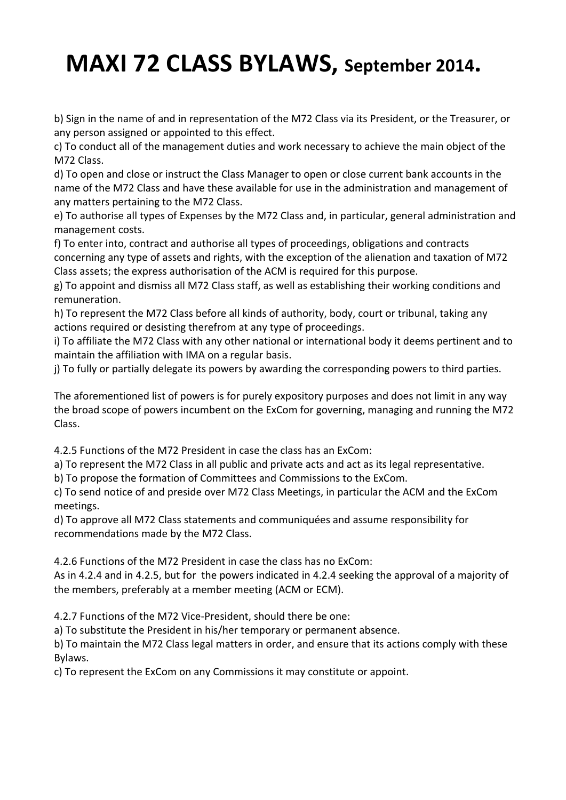b) Sign in the name of and in representation of the M72 Class via its President, or the Treasurer, or any person assigned or appointed to this effect.

c) To conduct all of the management duties and work necessary to achieve the main object of the M72 Class.

d) To open and close or instruct the Class Manager to open or close current bank accounts in the name of the M72 Class and have these available for use in the administration and management of any matters pertaining to the M72 Class.

e) To authorise all types of Expenses by the M72 Class and, in particular, general administration and management costs.

f) To enter into, contract and authorise all types of proceedings, obligations and contracts concerning any type of assets and rights, with the exception of the alienation and taxation of M72 Class assets; the express authorisation of the ACM is required for this purpose.

g) To appoint and dismiss all M72 Class staff, as well as establishing their working conditions and remuneration. 

h) To represent the M72 Class before all kinds of authority, body, court or tribunal, taking any actions required or desisting therefrom at any type of proceedings.

i) To affiliate the M72 Class with any other national or international body it deems pertinent and to maintain the affiliation with IMA on a regular basis.

j) To fully or partially delegate its powers by awarding the corresponding powers to third parties.

The aforementioned list of powers is for purely expository purposes and does not limit in any way the broad scope of powers incumbent on the ExCom for governing, managing and running the M72 Class. 

4.2.5 Functions of the M72 President in case the class has an ExCom:

a) To represent the M72 Class in all public and private acts and act as its legal representative.

b) To propose the formation of Committees and Commissions to the ExCom.

c) To send notice of and preside over M72 Class Meetings, in particular the ACM and the ExCom meetings. 

d) To approve all M72 Class statements and communiquées and assume responsibility for recommendations made by the M72 Class.

4.2.6 Functions of the M72 President in case the class has no ExCom:

As in 4.2.4 and in 4.2.5, but for the powers indicated in 4.2.4 seeking the approval of a majority of the members, preferably at a member meeting (ACM or ECM).

4.2.7 Functions of the M72 Vice-President, should there be one:

a) To substitute the President in his/her temporary or permanent absence.

b) To maintain the M72 Class legal matters in order, and ensure that its actions comply with these Bylaws. 

c) To represent the ExCom on any Commissions it may constitute or appoint.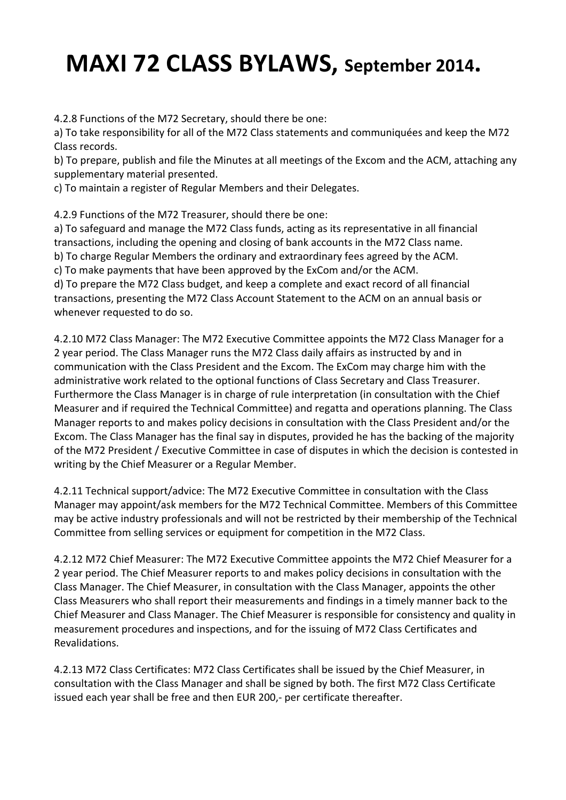4.2.8 Functions of the M72 Secretary, should there be one:

a) To take responsibility for all of the M72 Class statements and communiquées and keep the M72 Class records.

b) To prepare, publish and file the Minutes at all meetings of the Excom and the ACM, attaching any supplementary material presented.

c) To maintain a register of Regular Members and their Delegates.

4.2.9 Functions of the M72 Treasurer, should there be one:

a) To safeguard and manage the M72 Class funds, acting as its representative in all financial transactions, including the opening and closing of bank accounts in the M72 Class name. b) To charge Regular Members the ordinary and extraordinary fees agreed by the ACM. c) To make payments that have been approved by the ExCom and/or the ACM.

d) To prepare the M72 Class budget, and keep a complete and exact record of all financial transactions, presenting the M72 Class Account Statement to the ACM on an annual basis or whenever requested to do so.

4.2.10 M72 Class Manager: The M72 Executive Committee appoints the M72 Class Manager for a 2 year period. The Class Manager runs the M72 Class daily affairs as instructed by and in communication with the Class President and the Excom. The ExCom may charge him with the administrative work related to the optional functions of Class Secretary and Class Treasurer. Furthermore the Class Manager is in charge of rule interpretation (in consultation with the Chief Measurer and if required the Technical Committee) and regatta and operations planning. The Class Manager reports to and makes policy decisions in consultation with the Class President and/or the Excom. The Class Manager has the final say in disputes, provided he has the backing of the majority of the M72 President / Executive Committee in case of disputes in which the decision is contested in writing by the Chief Measurer or a Regular Member.

4.2.11 Technical support/advice: The M72 Executive Committee in consultation with the Class Manager may appoint/ask members for the M72 Technical Committee. Members of this Committee may be active industry professionals and will not be restricted by their membership of the Technical Committee from selling services or equipment for competition in the M72 Class.

4.2.12 M72 Chief Measurer: The M72 Executive Committee appoints the M72 Chief Measurer for a 2 year period. The Chief Measurer reports to and makes policy decisions in consultation with the Class Manager. The Chief Measurer, in consultation with the Class Manager, appoints the other Class Measurers who shall report their measurements and findings in a timely manner back to the Chief Measurer and Class Manager. The Chief Measurer is responsible for consistency and quality in measurement procedures and inspections, and for the issuing of M72 Class Certificates and Revalidations. 

4.2.13 M72 Class Certificates: M72 Class Certificates shall be issued by the Chief Measurer, in consultation with the Class Manager and shall be signed by both. The first M72 Class Certificate issued each year shall be free and then EUR 200,- per certificate thereafter.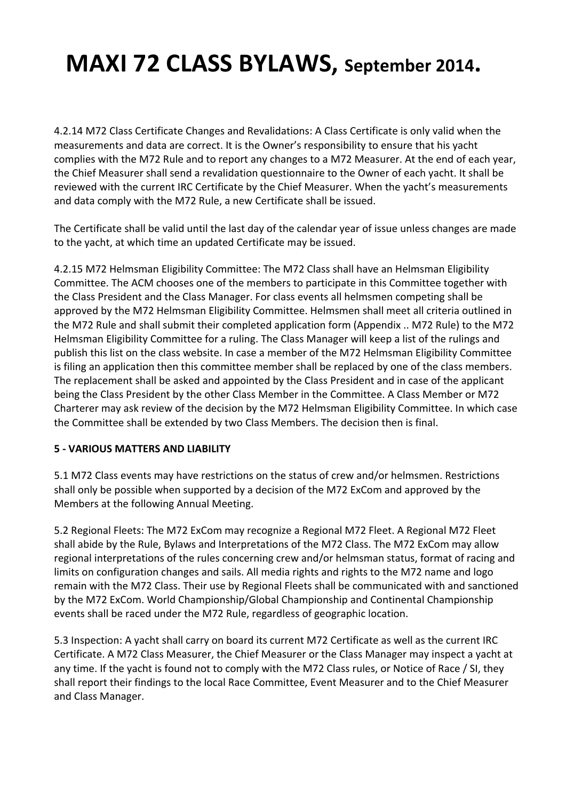4.2.14 M72 Class Certificate Changes and Revalidations: A Class Certificate is only valid when the measurements and data are correct. It is the Owner's responsibility to ensure that his yacht complies with the M72 Rule and to report any changes to a M72 Measurer. At the end of each year, the Chief Measurer shall send a revalidation questionnaire to the Owner of each yacht. It shall be reviewed with the current IRC Certificate by the Chief Measurer. When the yacht's measurements and data comply with the M72 Rule, a new Certificate shall be issued.

The Certificate shall be valid until the last day of the calendar year of issue unless changes are made to the yacht, at which time an updated Certificate may be issued.

4.2.15 M72 Helmsman Eligibility Committee: The M72 Class shall have an Helmsman Eligibility Committee. The ACM chooses one of the members to participate in this Committee together with the Class President and the Class Manager. For class events all helmsmen competing shall be approved by the M72 Helmsman Eligibility Committee. Helmsmen shall meet all criteria outlined in the M72 Rule and shall submit their completed application form (Appendix .. M72 Rule) to the M72 Helmsman Eligibility Committee for a ruling. The Class Manager will keep a list of the rulings and publish this list on the class website. In case a member of the M72 Helmsman Eligibility Committee is filing an application then this committee member shall be replaced by one of the class members. The replacement shall be asked and appointed by the Class President and in case of the applicant being the Class President by the other Class Member in the Committee. A Class Member or M72 Charterer may ask review of the decision by the M72 Helmsman Eligibility Committee. In which case the Committee shall be extended by two Class Members. The decision then is final.

### **5 - VARIOUS MATTERS AND LIABILITY**

5.1 M72 Class events may have restrictions on the status of crew and/or helmsmen. Restrictions shall only be possible when supported by a decision of the M72 ExCom and approved by the Members at the following Annual Meeting.

5.2 Regional Fleets: The M72 ExCom may recognize a Regional M72 Fleet. A Regional M72 Fleet shall abide by the Rule, Bylaws and Interpretations of the M72 Class. The M72 ExCom may allow regional interpretations of the rules concerning crew and/or helmsman status, format of racing and limits on configuration changes and sails. All media rights and rights to the M72 name and logo remain with the M72 Class. Their use by Regional Fleets shall be communicated with and sanctioned by the M72 ExCom. World Championship/Global Championship and Continental Championship events shall be raced under the M72 Rule, regardless of geographic location.

5.3 Inspection: A yacht shall carry on board its current M72 Certificate as well as the current IRC Certificate. A M72 Class Measurer, the Chief Measurer or the Class Manager may inspect a yacht at any time. If the yacht is found not to comply with the M72 Class rules, or Notice of Race / SI, they shall report their findings to the local Race Committee, Event Measurer and to the Chief Measurer and Class Manager.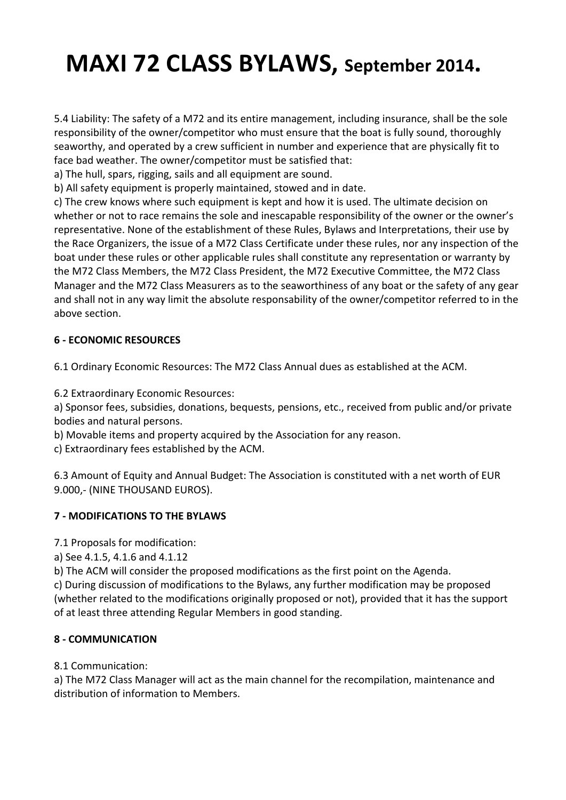5.4 Liability: The safety of a M72 and its entire management, including insurance, shall be the sole responsibility of the owner/competitor who must ensure that the boat is fully sound, thoroughly seaworthy, and operated by a crew sufficient in number and experience that are physically fit to face bad weather. The owner/competitor must be satisfied that:

a) The hull, spars, rigging, sails and all equipment are sound.

b) All safety equipment is properly maintained, stowed and in date.

c) The crew knows where such equipment is kept and how it is used. The ultimate decision on whether or not to race remains the sole and inescapable responsibility of the owner or the owner's representative. None of the establishment of these Rules, Bylaws and Interpretations, their use by the Race Organizers, the issue of a M72 Class Certificate under these rules, nor any inspection of the boat under these rules or other applicable rules shall constitute any representation or warranty by the M72 Class Members, the M72 Class President, the M72 Executive Committee, the M72 Class Manager and the M72 Class Measurers as to the seaworthiness of any boat or the safety of any gear and shall not in any way limit the absolute responsability of the owner/competitor referred to in the above section.

### **6 - ECONOMIC RESOURCES**

6.1 Ordinary Economic Resources: The M72 Class Annual dues as established at the ACM.

6.2 Extraordinary Economic Resources: 

a) Sponsor fees, subsidies, donations, bequests, pensions, etc., received from public and/or private bodies and natural persons.

b) Movable items and property acquired by the Association for any reason.

c) Extraordinary fees established by the ACM.

6.3 Amount of Equity and Annual Budget: The Association is constituted with a net worth of EUR 9.000,- (NINE THOUSAND EUROS).

### **7 - MODIFICATIONS TO THE BYLAWS**

7.1 Proposals for modification:

a) See 4.1.5, 4.1.6 and 4.1.12

b) The ACM will consider the proposed modifications as the first point on the Agenda.

c) During discussion of modifications to the Bylaws, any further modification may be proposed (whether related to the modifications originally proposed or not), provided that it has the support of at least three attending Regular Members in good standing.

### **8 - COMMUNICATION**

### 8.1 Communication:

a) The M72 Class Manager will act as the main channel for the recompilation, maintenance and distribution of information to Members.